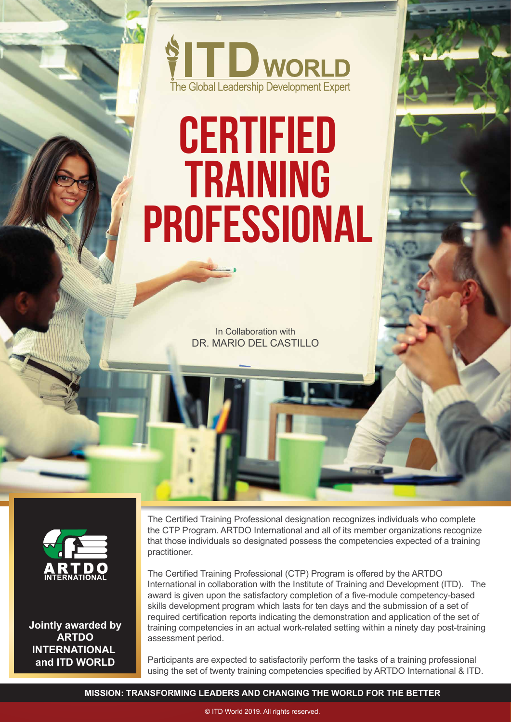

# **Certified Training Professional**

In Collaboration with DR. MARIO DEL CASTILLO



**Jointly awarded by ARTDO INTERNATIONAL and ITD WORLD**

The Certified Training Professional designation recognizes individuals who complete the CTP Program. ARTDO International and all of its member organizations recognize that those individuals so designated possess the competencies expected of a training practitioner.

The Certified Training Professional (CTP) Program is offered by the ARTDO International in collaboration with the Institute of Training and Development (ITD). The award is given upon the satisfactory completion of a five-module competency-based skills development program which lasts for ten days and the submission of a set of required certification reports indicating the demonstration and application of the set of training competencies in an actual work-related setting within a ninety day post-training assessment period.

Participants are expected to satisfactorily perform the tasks of a training professional using the set of twenty training competencies specified by ARTDO International & ITD.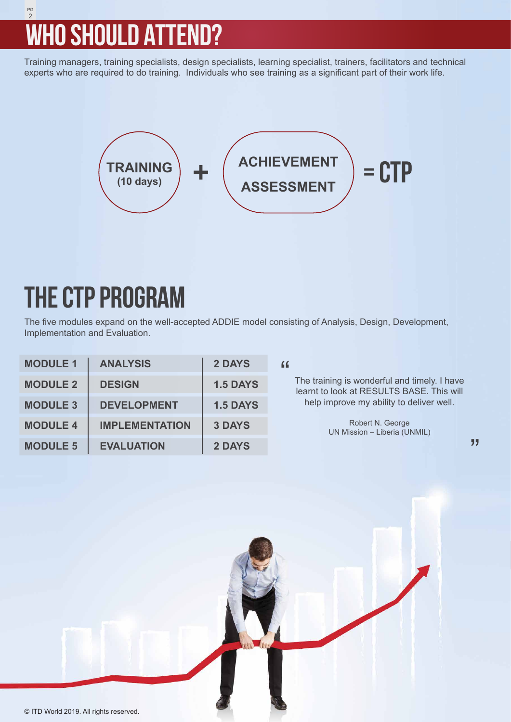## 2 PG **WHO SHOULD ATTEND?**

Training managers, training specialists, design specialists, learning specialist, trainers, facilitators and technical experts who are required to do training. Individuals who see training as a significant part of their work life.



## **THE CTP PROGRAM**

The five modules expand on the well-accepted ADDIE model consisting of Analysis, Design, Development, Implementation and Evaluation.

| <b>MODULE 1</b> | <b>ANALYSIS</b>       | 2 DAYS          | "                                                                                                                                                                                         |
|-----------------|-----------------------|-----------------|-------------------------------------------------------------------------------------------------------------------------------------------------------------------------------------------|
| <b>MODULE 2</b> | <b>DESIGN</b>         | <b>1.5 DAYS</b> | The training is wonderful and timely. I have<br>learnt to look at RESULTS BASE. This will<br>help improve my ability to deliver well.<br>Robert N. George<br>UN Mission - Liberia (UNMIL) |
| <b>MODULE 3</b> | <b>DEVELOPMENT</b>    | <b>1.5 DAYS</b> |                                                                                                                                                                                           |
| <b>MODULE 4</b> | <b>IMPLEMENTATION</b> | <b>3 DAYS</b>   |                                                                                                                                                                                           |
| <b>MODULE 5</b> | <b>EVALUATION</b>     | <b>2 DAYS</b>   | "                                                                                                                                                                                         |

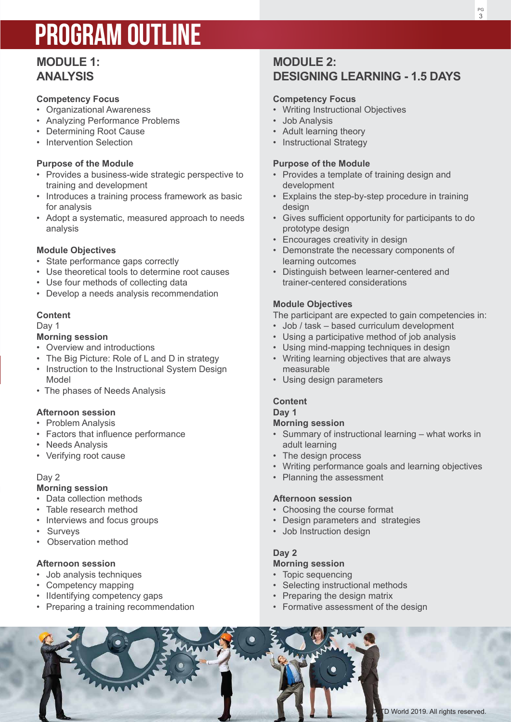## **PROGRAM OUTLINE**

## **ANALYSIS**

## **Competency Focus**

- Organizational Awareness
- Analyzing Performance Problems
- Determining Root Cause
- Intervention Selection

## **Purpose of the Module**

- Provides a business-wide strategic perspective to training and development
- Introduces a training process framework as basic for analysis
- **MODULE 1:**<br> **MODULE 1:**<br>
Competition precise<br>
Competition and the main of the main of the main of the main of the main of the main of the main of the main of the main of the main of the main of the main of the main of the • Adopt a systematic, measured approach to needs analysis

## **Module Objectives**

- State performance gaps correctly
- Use theoretical tools to determine root causes
- Use four methods of collecting data
- Develop a needs analysis recommendation

## **Content**

Day 1

## **Morning session**

- Overview and introductions
- The Big Picture: Role of L and D in strategy
- Instruction to the Instructional System Design Model
- The phases of Needs Analysis

## **Afternoon session**

- Problem Analysis
- Factors that influence performance
- Needs Analysis
- Verifying root cause

## Day 2

## **Morning session**

- Data collection methods
- Table research method
- Interviews and focus groups
- Surveys
- Observation method

## **Afternoon session**

- Job analysis techniques
- Competency mapping
- IIdentifying competency gaps
- Preparing a training recommendation

## **MODULE 2: DESIGNING LEARNING - 1.5 DAYS**

## **Competency Focus**

- Writing Instructional Objectives
- Job Analysis
- Adult learning theory
- Instructional Strategy

## **Purpose of the Module**

- Provides a template of training design and development
- Explains the step-by-step procedure in training design
- Gives sufficient opportunity for participants to do prototype design
- Encourages creativity in design
- Demonstrate the necessary components of learning outcomes
- Distinguish between learner-centered and trainer-centered considerations

## **Module Objectives**

The participant are expected to gain competencies in:

- Job / task based curriculum development
- Using a participative method of job analysis
- Using mind-mapping techniques in design
- Writing learning objectives that are always measurable
- Using design parameters

## **Content**

#### **Day 1**

#### **Morning session**

- Summary of instructional learning what works in adult learning
- The design process
- Writing performance goals and learning objectives
- Planning the assessment

## **Afternoon session**

- Choosing the course format
- Design parameters and strategies
- Job Instruction design

## **Day 2**

## **Morning session**

- Topic sequencing
- Selecting instructional methods
- Preparing the design matrix
- Formative assessment of the design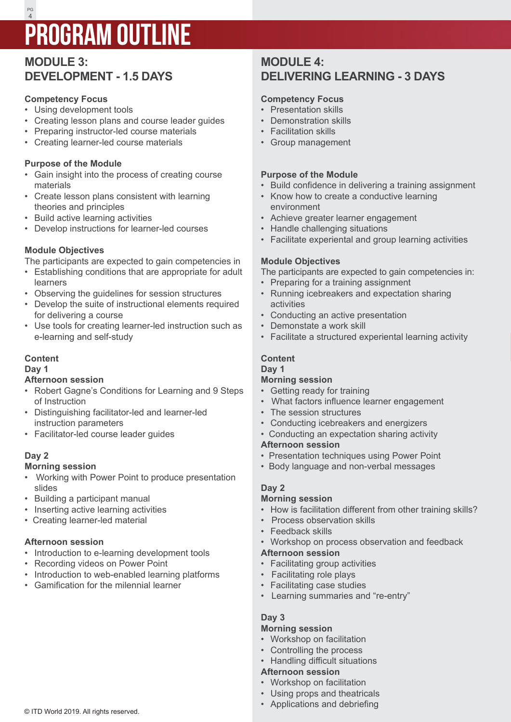## 4 PG **PROGRAM OUTLINE**

## **MODULE 3: DEVELOPMENT - 1.5 DAYS**

## **Competency Focus**

- Using development tools
- Creating lesson plans and course leader guides
- Preparing instructor-led course materials
- Creating learner-led course materials

## **Purpose of the Module**

- Gain insight into the process of creating course materials
- Create lesson plans consistent with learning theories and principles
- Build active learning activities
- Develop instructions for learner-led courses

## **Module Objectives**

The participants are expected to gain competencies in

- Establishing conditions that are appropriate for adult learners
- Observing the guidelines for session structures
- Develop the suite of instructional elements required for delivering a course
- Use tools for creating learner-led instruction such as e-learning and self-study

## **Content**

#### **Day 1**

## **Afternoon session**

- Robert Gagne's Conditions for Learning and 9 Steps of Instruction
- Distinguishing facilitator-led and learner-led instruction parameters
- Facilitator-led course leader guides

## **Day 2**

## **Morning session**

- Working with Power Point to produce presentation slides
- Building a participant manual
- Inserting active learning activities
- Creating learner-led material

## **Afternoon session**

- Introduction to e-learning development tools
- Recording videos on Power Point
- Introduction to web-enabled learning platforms
- Gamification for the milennial learner

## **MODULE 4: DELIVERING LEARNING - 3 DAYS**

## **Competency Focus**

- Presentation skills
- Demonstration skills
- Facilitation skills
- Group management

## **Purpose of the Module**

- Build confidence in delivering a training assignment
- Know how to create a conductive learning environment
- Achieve greater learner engagement
- Handle challenging situations
- Facilitate experiental and group learning activities

## **Module Objectives**

The participants are expected to gain competencies in:

- Preparing for a training assignment
- Running icebreakers and expectation sharing activities
- Conducting an active presentation
- Demonstate a work skill
- Facilitate a structured experiental learning activity

## **Content**

## **Day 1**

## **Morning session**

- Getting ready for training
- What factors influence learner engagement
- The session structures
- Conducting icebreakers and energizers
- Conducting an expectation sharing activity

## **Afternoon session**

- Presentation techniques using Power Point
- Body language and non-verbal messages

## **Day 2**

## **Morning session**

- How is facilitation different from other training skills?
- Process observation skills
- Feedback skills
- Workshop on process observation and feedback

## **Afternoon session**

- Facilitating group activities
- Facilitating role plays
- Facilitating case studies
- Learning summaries and "re-entry"

## **Day 3**

#### **Morning session**

- Workshop on facilitation
- Controlling the process
- Handling difficult situations

## **Afternoon session**

- Workshop on facilitation
- Using props and theatricals
- Applications and debriefing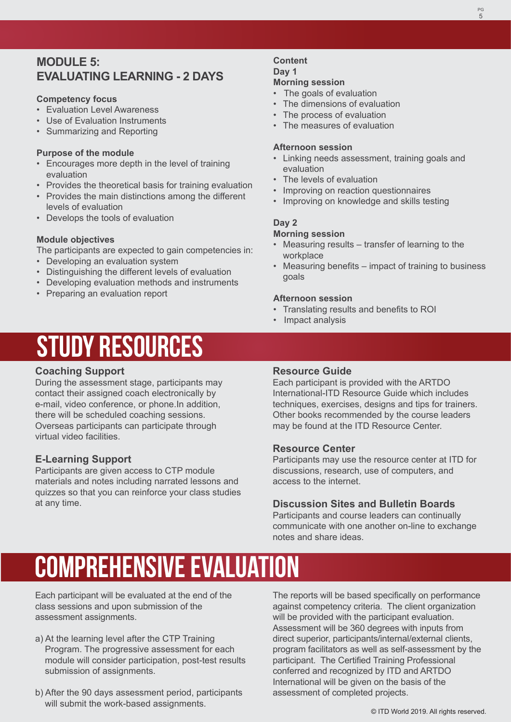PG

## **MODULE 5: EVALUATING LEARNING - 2 DAYS**

## **Competency focus**

- Evaluation Level Awareness
- Use of Evaluation Instruments
- Summarizing and Reporting

## **Purpose of the module**

- Encourages more depth in the level of training evaluation
- Provides the theoretical basis for training evaluation
- Provides the main distinctions among the different levels of evaluation
- Develops the tools of evaluation

## **Module objectives**

The participants are expected to gain competencies in:

- Developing an evaluation system
- Distinguishing the different levels of evaluation
- Developing evaluation methods and instruments
- Preparing an evaluation report

## **Content Day 1 Morning session**

- The goals of evaluation
- The dimensions of evaluation
- The process of evaluation
- The measures of evaluation

## **Afternoon session**

- Linking needs assessment, training goals and evaluation
- The levels of evaluation
- Improving on reaction questionnaires
- Improving on knowledge and skills testing

## **Day 2**

## **Morning session**

- Measuring results transfer of learning to the workplace
- Measuring benefits impact of training to business goals

### **Afternoon session**

- Translating results and benefits to ROI
- Impact analysis

## **STUDY RESOURCES**

## **Coaching Support**

During the assessment stage, participants may contact their assigned coach electronically by e-mail, video conference, or phone.In addition, there will be scheduled coaching sessions. Overseas participants can participate through virtual video facilities.

## **E-Learning Support**

Participants are given access to CTP module materials and notes including narrated lessons and quizzes so that you can reinforce your class studies at any time.

## **Resource Guide**

Each participant is provided with the ARTDO International-ITD Resource Guide which includes techniques, exercises, designs and tips for trainers. Other books recommended by the course leaders may be found at the ITD Resource Center.

## **Resource Center**

Participants may use the resource center at ITD for discussions, research, use of computers, and access to the internet.

## **Discussion Sites and Bulletin Boards**

Participants and course leaders can continually communicate with one another on-line to exchange notes and share ideas.

## **Comprehensive evaluation**

Each participant will be evaluated at the end of the class sessions and upon submission of the assessment assignments.

- a) At the learning level after the CTP Training Program. The progressive assessment for each module will consider participation, post-test results submission of assignments.
- b) After the 90 days assessment period, participants will submit the work-based assignments.

The reports will be based specifically on performance against competency criteria. The client organization will be provided with the participant evaluation. Assessment will be 360 degrees with inputs from direct superior, participants/internal/external clients, program facilitators as well as self-assessment by the participant. The Certified Training Professional conferred and recognized by ITD and ARTDO International will be given on the basis of the assessment of completed projects.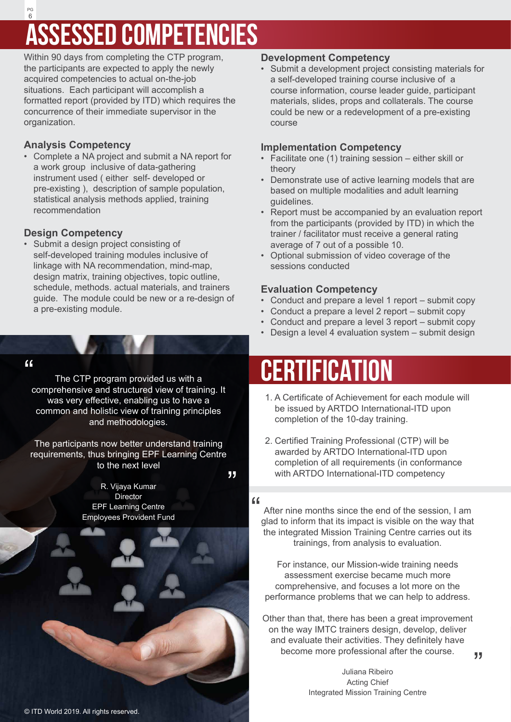## 6 PG **ASSESSED COMPETENCIES**

Within 90 days from completing the CTP program, the participants are expected to apply the newly acquired competencies to actual on-the-job situations. Each participant will accomplish a formatted report (provided by ITD) which requires the concurrence of their immediate supervisor in the organization.

## **Analysis Competency**

• Complete a NA project and submit a NA report for a work group inclusive of data-gathering instrument used ( either self- developed or pre-existing ), description of sample population, statistical analysis methods applied, training recommendation

## **Design Competency**

• Submit a design project consisting of self-developed training modules inclusive of linkage with NA recommendation, mind-map, design matrix, training objectives, topic outline, schedule, methods. actual materials, and trainers guide. The module could be new or a re-design of a pre-existing module.

## $\epsilon$

The CTP program provided us with a comprehensive and structured view of training. It was very effective, enabling us to have a common and holistic view of training principles and methodologies.

The participants now better understand training requirements, thus bringing EPF Learning Centre to the next level

"

R. Vijaya Kumar **Director** EPF Learning Centre Employees Provident Fund



© ITD World 2019. All rights reserved.

## **Development Competency**

• Submit a development project consisting materials for a self-developed training course inclusive of a course information, course leader guide, participant materials, slides, props and collaterals. The course could be new or a redevelopment of a pre-existing course

## **Implementation Competency**

- Facilitate one (1) training session either skill or theory
- Demonstrate use of active learning models that are based on multiple modalities and adult learning guidelines.
- Report must be accompanied by an evaluation report from the participants (provided by ITD) in which the trainer / facilitator must receive a general rating average of 7 out of a possible 10.
- Optional submission of video coverage of the sessions conducted

## **Evaluation Competency**

- Conduct and prepare a level 1 report submit copy
- Conduct a prepare a level 2 report submit copy
- Conduct and prepare a level 3 report submit copy
- Design a level 4 evaluation system submit design

## **CERTIFICATION**

- 1. A Certificate of Achievement for each module will be issued by ARTDO International-ITD upon completion of the 10-day training.
- 2. Certified Training Professional (CTP) will be awarded by ARTDO International-ITD upon completion of all requirements (in conformance with ARTDO International-ITD competency

 $\epsilon$ 

After nine months since the end of the session, I am glad to inform that its impact is visible on the way that the integrated Mission Training Centre carries out its trainings, from analysis to evaluation.

For instance, our Mission-wide training needs assessment exercise became much more comprehensive, and focuses a lot more on the performance problems that we can help to address.

Other than that, there has been a great improvement on the way IMTC trainers design, develop, deliver and evaluate their activities. They definitely have become more professional after the course.

> Juliana Ribeiro Acting Chief Integrated Mission Training Centre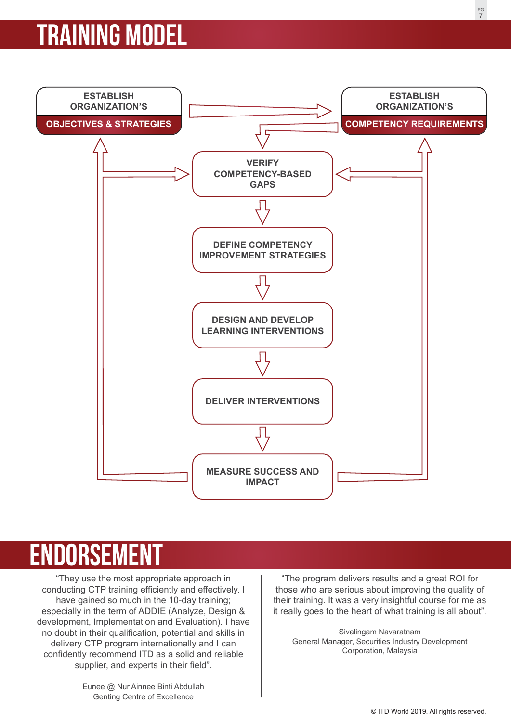## **training model**



## **ENDORSEM**

"They use the most appropriate approach in conducting CTP training efficiently and effectively. I have gained so much in the 10-day training; especially in the term of ADDIE (Analyze, Design & development, Implementation and Evaluation). I have no doubt in their qualification, potential and skills in delivery CTP program internationally and I can confidently recommend ITD as a solid and reliable supplier, and experts in their field".

> Eunee @ Nur Ainnee Binti Abdullah Genting Centre of Excellence

"The program delivers results and a great ROI for those who are serious about improving the quality of their training. It was a very insightful course for me as it really goes to the heart of what training is all about".

Sivalingam Navaratnam General Manager, Securities Industry Development Corporation, Malaysia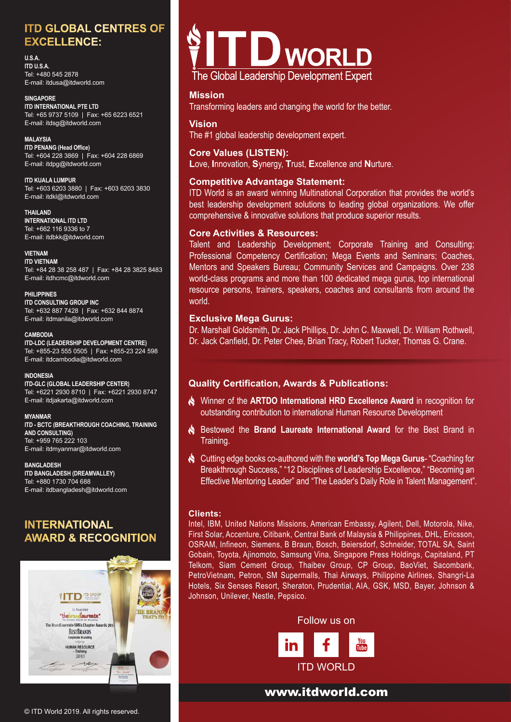## **ITD GLOBAL CENTRES OF EXCELLENCE:**

#### **U.S.A.**

**ITD U.S.A.** Tel: +480 545 2878 E-mail: itdusa@itdworld.com

**SINGAPORE ITD INTERNATIONAL PTE LTD** Tel: +65 9737 5109 | Fax: +65 6223 6521 E-mail: itdsg@itdworld.com

**MALAYSIA ITD PENANG (Head Office)** Tel: +604 228 3869 | Fax: +604 228 6869 E-mail: itdpg@itdworld.com

**ITD KUALA LUMPUR** Tel: +603 6203 3880 | Fax: +603 6203 3830 E-mail: itdkl@itdworld.com

**THAILAND INTERNATIONAL ITD LTD** Tel: +662 116 9336 to 7 E-mail: itdbkk@itdworld.com

#### **VIETNAM**

**ITD VIETNAM** Tel: +84 28 38 258 487 | Fax: +84 28 3825 8483 E-mail: itdhcmc@itdworld.com

**PHILIPPINES ITD CONSULTING GROUP INC** Tel: +632 887 7428 | Fax: +632 844 8874 E-mail: itdmanila@itdworld.com

**CAMBODIA ITD-LDC (LEADERSHIP DEVELOPMENT CENTRE)** Tel: +855-23 555 0505 | Fax: +855-23 224 598 E-mail: itdcambodia@itdworld.com

#### **INDONESIA**

**ITD-GLC (GLOBAL LEADERSHIP CENTER)** Tel: +6221 2930 8710 | Fax: +6221 2930 8747 E-mail: itdjakarta@itdworld.com

#### **MYANMAR**

**ITD - BCTC (BREAKTHROUGH COACHING, TRAINING AND CONSULTING)** Tel: +959 765 222 103 E-mail: itdmyanmar@itdworld.com

#### **BANGLADESH**

**ITD BANGLADESH (DREAMVALLEY)** Tel: +880 1730 704 688 E-mail: itdbangladesh@itdworld.com

## **INTERNATIONAL AWARD & RECOGNITION**





#### **Mission**

Transforming leaders and changing the world for the better.

#### **Vision**

The #1 global leadership development expert.

**Core Values (LISTEN): L**ove, **I**nnovation, **S**ynergy, **T**rust, **E**xcellence and **N**urture.

### **Competitive Advantage Statement:**

ITD World is an award winning Multinational Corporation that provides the world's best leadership development solutions to leading global organizations. We offer comprehensive & innovative solutions that produce superior results.

#### **Core Activities & Resources:**

Talent and Leadership Development; Corporate Training and Consulting; Professional Competency Certification; Mega Events and Seminars; Coaches, Mentors and Speakers Bureau; Community Services and Campaigns. Over 238 world-class programs and more than 100 dedicated mega gurus, top international resource persons, trainers, speakers, coaches and consultants from around the world.

#### **Exclusive Mega Gurus:**

Dr. Marshall Goldsmith, Dr. Jack Phillips, Dr. John C. Maxwell, Dr. William Rothwell, Dr. Jack Canfield, Dr. Peter Chee, Brian Tracy, Robert Tucker, Thomas G. Crane.

## **Quality Certification, Awards & Publications:**

- Winner of the **ARTDO International HRD Excellence Award** in recognition for outstanding contribution to international Human Resource Development
- **S** Bestowed the **Brand Laureate International Award** for the Best Brand in Training.
- Cutting edge books co-authored with the **world's Top Mega Gurus** "Coaching for Breakthrough Success," "12 Disciplines of Leadership Excellence," "Becoming an Effective Mentoring Leader" and "The Leader's Daily Role in Talent Management".

#### **Clients:**

Intel, IBM, United Nations Missions, American Embassy, Agilent, Dell, Motorola, Nike, First Solar, Accenture, Citibank, Central Bank of Malaysia & Philippines, DHL, Ericsson, OSRAM, Infineon, Siemens, B Braun, Bosch, Beiersdorf, Schneider, TOTAL SA, Saint Gobain, Toyota, Ajinomoto, Samsung Vina, Singapore Press Holdings, Capitaland, PT Telkom, Siam Cement Group, Thaibev Group, CP Group, BaoViet, Sacombank, PetroVietnam, Petron, SM Supermalls, Thai Airways, Philippine Airlines, Shangri-La Hotels, Six Senses Resort, Sheraton, Prudential, AIA, GSK, MSD, Bayer, Johnson & Johnson, Unilever, Nestle, Pepsico.

> Follow us on in **ITD WORLD**

www.itdworld.com